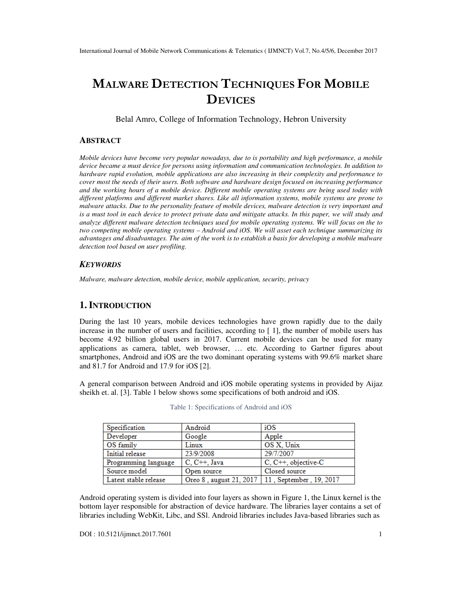# **MALWARE DETECTION TECHNIQUES FOR MOBILE DEVICES**

Belal Amro, College of Information Technology, Hebron University

## **ABSTRACT**

*Mobile devices have become very popular nowadays, due to is portability and high performance, a mobile device became a must device for persons using information and communication technologies. In addition to hardware rapid evolution, mobile applications are also increasing in their complexity and performance to cover most the needs of their users. Both software and hardware design focused on increasing performance and the working hours of a mobile device. Different mobile operating systems are being used today with different platforms and different market shares. Like all information systems, mobile systems are prone to malware attacks. Due to the personality feature of mobile devices, malware detection is very important and is a must tool in each device to protect private data and mitigate attacks. In this paper, we will study and analyze different malware detection techniques used for mobile operating systems. We will focus on the to two competing mobile operating systems – Android and iOS. We will asset each technique summarizing its advantages and disadvantages. The aim of the work is to establish a basis for developing a mobile malware detection tool based on user profiling.* 

## *KEYWORDS*

*Malware, malware detection, mobile device, mobile application, security, privacy* 

## **1. INTRODUCTION**

During the last 10 years, mobile devices technologies have grown rapidly due to the daily increase in the number of users and facilities, according to [ 1], the number of mobile users has become 4.92 billion global users in 2017. Current mobile devices can be used for many applications as camera, tablet, web browser, … etc. According to Gartner figures about smartphones, Android and iOS are the two dominant operating systems with 99.6% market share and 81.7 for Android and 17.9 for iOS [2].

A general comparison between Android and iOS mobile operating systems in provided by Aijaz sheikh et. al. [3]. Table 1 below shows some specifications of both android and iOS.

| Specification         | Android        | iOS                                               |  |
|-----------------------|----------------|---------------------------------------------------|--|
| Developer             | Google         | Apple                                             |  |
| OS family             | Linux          | OS X, Unix                                        |  |
| Initial release       | 23/9/2008      | 29/7/2007                                         |  |
| Programming language  | $C, C++, Java$ | C, C++, objective-C                               |  |
| Source model          | Open source    | Closed source                                     |  |
| Latest stable release |                | Oreo 8, august 21, 2017   11, September, 19, 2017 |  |

|  | Table 1: Specifications of Android and iOS |  |  |
|--|--------------------------------------------|--|--|
|--|--------------------------------------------|--|--|

Android operating system is divided into four layers as shown in Figure 1, the Linux kernel is the bottom layer responsible for abstraction of device hardware. The libraries layer contains a set of libraries including WebKit, Libc, and SSl. Android libraries includes Java-based libraries such as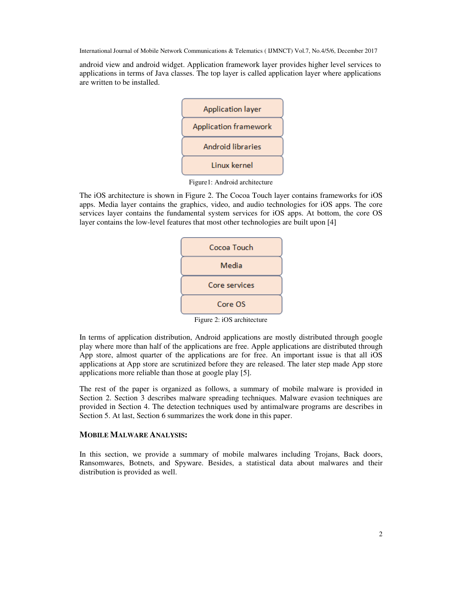android view and android widget. Application framework layer provides higher level services to applications in terms of Java classes. The top layer is called application layer where applications are written to be installed.



Figure1: Android architecture

The iOS architecture is shown in Figure 2. The Cocoa Touch layer contains frameworks for iOS apps. Media layer contains the graphics, video, and audio technologies for iOS apps. The core services layer contains the fundamental system services for iOS apps. At bottom, the core OS layer contains the low-level features that most other technologies are built upon [4]



Figure 2: iOS architecture

In terms of application distribution, Android applications are mostly distributed through google play where more than half of the applications are free. Apple applications are distributed through App store, almost quarter of the applications are for free. An important issue is that all iOS applications at App store are scrutinized before they are released. The later step made App store applications more reliable than those at google play [5].

The rest of the paper is organized as follows, a summary of mobile malware is provided in Section 2. Section 3 describes malware spreading techniques. Malware evasion techniques are provided in Section 4. The detection techniques used by antimalware programs are describes in Section 5. At last, Section 6 summarizes the work done in this paper.

## **MOBILE MALWARE ANALYSIS:**

In this section, we provide a summary of mobile malwares including Trojans, Back doors, Ransomwares, Botnets, and Spyware. Besides, a statistical data about malwares and their distribution is provided as well.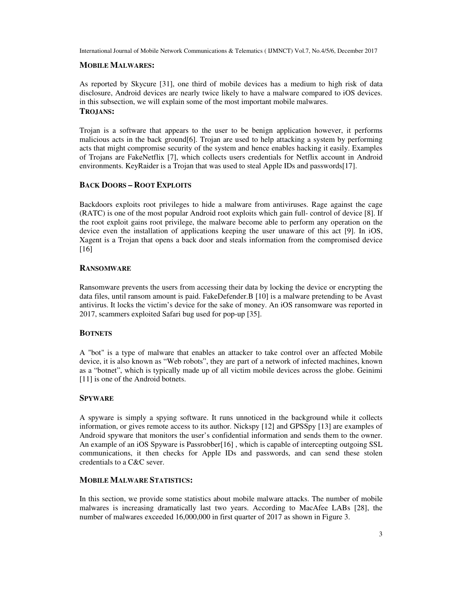## **MOBILE MALWARES:**

As reported by Skycure [31], one third of mobile devices has a medium to high risk of data disclosure, Android devices are nearly twice likely to have a malware compared to iOS devices. in this subsection, we will explain some of the most important mobile malwares. **TROJANS:** 

Trojan is a software that appears to the user to be benign application however, it performs malicious acts in the back ground  $[6]$ . Trojan are used to help attacking a system by performing acts that might compromise security of the system and hence enables hacking it easily. Examples of Trojans are FakeNetflix [7], which collects users credentials for Netflix account in Android environments. KeyRaider is a Trojan that was used to steal Apple IDs and passwords[17].

## **BACK DOORS – ROOT EXPLOITS**

Backdoors exploits root privileges to hide a malware from antiviruses. Rage against the cage (RATC) is one of the most popular Android root exploits which gain full- control of device [8]. If the root exploit gains root privilege, the malware become able to perform any operation on the device even the installation of applications keeping the user unaware of this act [9]. In iOS, Xagent is a Trojan that opens a back door and steals information from the compromised device [16]

## **RANSOMWARE**

Ransomware prevents the users from accessing their data by locking the device or encrypting the data files, until ransom amount is paid. FakeDefender.B [10] is a malware pretending to be Avast antivirus. It locks the victim's device for the sake of money. An iOS ransomware was reported in 2017, scammers exploited Safari bug used for pop-up [35].

## **BOTNETS**

A "bot" is a type of malware that enables an attacker to take control over an affected Mobile device, it is also known as "Web robots", they are part of a network of infected machines, known as a "botnet", which is typically made up of all victim mobile devices across the globe. Geinimi [11] is one of the Android botnets.

## **SPYWARE**

A spyware is simply a spying software. It runs unnoticed in the background while it collects information, or gives remote access to its author. Nickspy [12] and GPSSpy [13] are examples of Android spyware that monitors the user's confidential information and sends them to the owner. An example of an iOS Spyware is Passrobber[16], which is capable of intercepting outgoing SSL communications, it then checks for Apple IDs and passwords, and can send these stolen credentials to a C&C sever.

## **MOBILE MALWARE STATISTICS:**

In this section, we provide some statistics about mobile malware attacks. The number of mobile malwares is increasing dramatically last two years. According to MacAfee LABs [28], the number of malwares exceeded 16,000,000 in first quarter of 2017 as shown in Figure 3.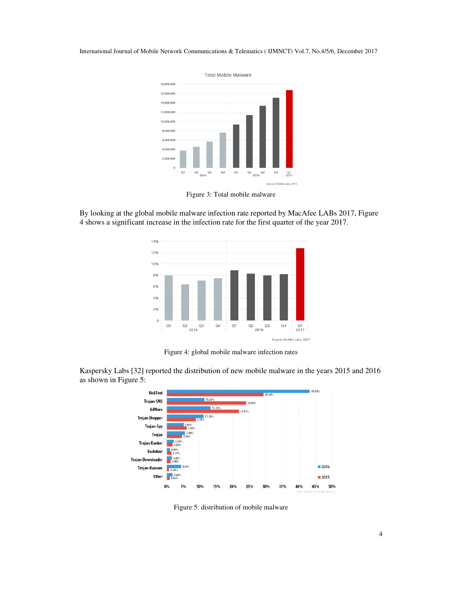

Figure 3: Total mobile malware

By looking at the global mobile malware infection rate reported by MacAfee LABs 2017, Figure 4 shows a significant increase in the infection rate for the first quarter of the year 2017. in



Figure Figure 4: global mobile malware infection rates

Kaspersky Labs [32] reported the distribution of new mobile malware in the years 2015 and as shown in Figure 5:



Figure Figure 5: distribution of mobile malware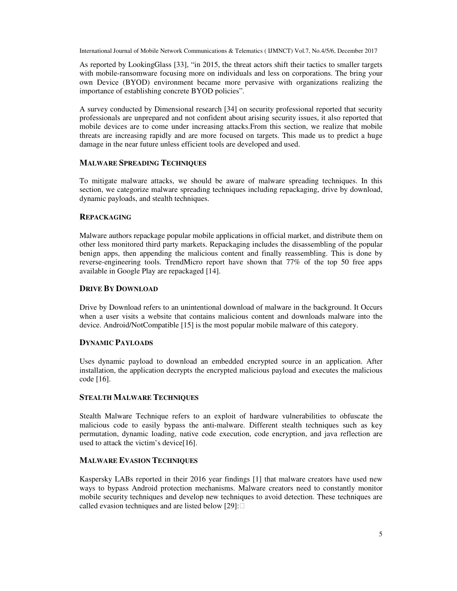As reported by LookingGlass [33], "in 2015, the threat actors shift their tactics to smaller targets with mobile-ransomware focusing more on individuals and less on corporations. The bring your own Device (BYOD) environment became more pervasive with organizations realizing the importance of establishing concrete BYOD policies".

A survey conducted by Dimensional research [34] on security professional reported that security professionals are unprepared and not confident about arising security issues, it also reported that mobile devices are to come under increasing attacks.From this section, we realize that mobile threats are increasing rapidly and are more focused on targets. This made us to predict a huge damage in the near future unless efficient tools are developed and used.

## **MALWARE SPREADING TECHNIQUES**

To mitigate malware attacks, we should be aware of malware spreading techniques. In this section, we categorize malware spreading techniques including repackaging, drive by download, dynamic payloads, and stealth techniques.

## **REPACKAGING**

Malware authors repackage popular mobile applications in official market, and distribute them on other less monitored third party markets. Repackaging includes the disassembling of the popular benign apps, then appending the malicious content and finally reassembling. This is done by reverse-engineering tools. TrendMicro report have shown that 77% of the top 50 free apps available in Google Play are repackaged [14].

## **DRIVE BY DOWNLOAD**

Drive by Download refers to an unintentional download of malware in the background. It Occurs when a user visits a website that contains malicious content and downloads malware into the device. Android/NotCompatible [15] is the most popular mobile malware of this category.

#### **DYNAMIC PAYLOADS**

Uses dynamic payload to download an embedded encrypted source in an application. After installation, the application decrypts the encrypted malicious payload and executes the malicious code [16].

#### **STEALTH MALWARE TECHNIQUES**

Stealth Malware Technique refers to an exploit of hardware vulnerabilities to obfuscate the malicious code to easily bypass the anti-malware. Different stealth techniques such as key permutation, dynamic loading, native code execution, code encryption, and java reflection are used to attack the victim's device[16].

#### **MALWARE EVASION TECHNIQUES**

Kaspersky LABs reported in their 2016 year findings [1] that malware creators have used new ways to bypass Android protection mechanisms. Malware creators need to constantly monitor mobile security techniques and develop new techniques to avoid detection. These techniques are called evasion techniques and are listed below [29]:  $\square$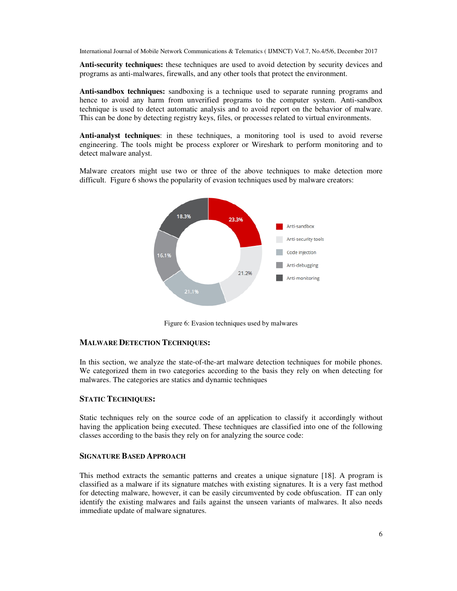Anti-security techniques: these techniques are used to avoid detection by security devices and programs as anti-malwares, firewalls, and any other tools that protect the environment.

**Anti-sandbox techniques:** sandboxing is a technique used to separate running programs and hence to avoid any harm from unverified programs to the computer system. Anti-sandbox Anti-security techniques: these techniques are used to avoid detection by security devices and programs as anti-malwares, firewalls, and any other tools that protect the environment.<br>Anti-sandbox techniques: sandboxing is technique is used to detect automatic analysis and to avoid report on the behavior of malwarhis can be done by detecting registry keys, files, or processes related to virtual environments.

**Anti-analyst techniques**: in these techniques, a monitoring tool is used to avoid reverse Anti-analyst techniques: in these techniques, a monitoring tool is used to avoid reverse engineering. The tools might be process explorer or Wireshark to perform monitoring and to detect malware analyst.

Malware creators might use two or three of the above techniques to make detection more difficult. Figure 6 shows the popularity of evasion techniques used by malware creators:



Figure Figure 6: Evasion techniques used by malwares

## **MALWARE DETECTION TECHNIQUES :**

In this section, we analyze the state-of-the-art malware detection techniques for mobile phones. We categorized them in two categories according to the basis they rely on when detecting for malwares. The categories are statics and dynamic techniques

#### **STATIC TECHNIQUES:**

Static techniques rely on the source code of an application to classify it accordingly without malwares. The categories are statics and dynamic techniques<br> **STATIC TECHNIQUES:**<br>
Static techniques rely on the source code of an application to classify it accordingly without<br>
having the application being executed. Thes classes according to the basis they rely on for analyzing the source code: If two categories according to the basis they rely on when detecting for<br>s are statics and dynamic techniques<br>on the source code of an application to classify it accordingly without<br>eing executed. These techniques are clas

## **SIGNATURE BASED APPROACH**

This method extracts the semantic patterns and creates a unique signature [18]. A program is classified as a malware if its signature matches with existing signatures. It is a very fast for detecting malware, however, it can be easily circumvented by code obfuscation. IT can only for detecting malware, however, it can be easily circumvented by cod<br>identify the existing malwares and fails against the unseen variants immediate update of malware signatures. ied as a malware if its signature matches with existing signatures. It is a very fast method tecting malware, however, it can be easily circumvented by code obfuscation. IT can only by the existing malwares and fails again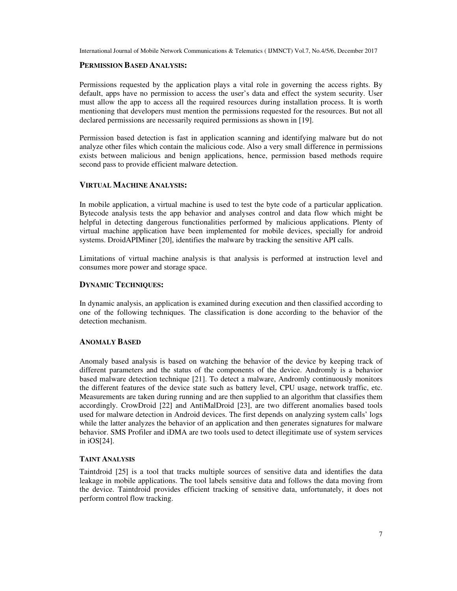## **PERMISSION BASED ANALYSIS:**

Permissions requested by the application plays a vital role in governing the access rights. By default, apps have no permission to access the user's data and effect the system security. User must allow the app to access all the required resources during installation process. It is worth mentioning that developers must mention the permissions requested for the resources. But not all declared permissions are necessarily required permissions as shown in [19].

Permission based detection is fast in application scanning and identifying malware but do not analyze other files which contain the malicious code. Also a very small difference in permissions exists between malicious and benign applications, hence, permission based methods require second pass to provide efficient malware detection.

## **VIRTUAL MACHINE ANALYSIS:**

In mobile application, a virtual machine is used to test the byte code of a particular application. Bytecode analysis tests the app behavior and analyses control and data flow which might be helpful in detecting dangerous functionalities performed by malicious applications. Plenty of virtual machine application have been implemented for mobile devices, specially for android systems. DroidAPIMiner [20], identifies the malware by tracking the sensitive API calls.

Limitations of virtual machine analysis is that analysis is performed at instruction level and consumes more power and storage space.

## **DYNAMIC TECHNIQUES:**

In dynamic analysis, an application is examined during execution and then classified according to one of the following techniques. The classification is done according to the behavior of the detection mechanism.

## **ANOMALY BASED**

Anomaly based analysis is based on watching the behavior of the device by keeping track of different parameters and the status of the components of the device. Andromly is a behavior based malware detection technique [21]. To detect a malware, Andromly continuously monitors the different features of the device state such as battery level, CPU usage, network traffic, etc. Measurements are taken during running and are then supplied to an algorithm that classifies them accordingly. CrowDroid [22] and AntiMalDroid [23], are two different anomalies based tools used for malware detection in Android devices. The first depends on analyzing system calls' logs while the latter analyzes the behavior of an application and then generates signatures for malware behavior. SMS Profiler and iDMA are two tools used to detect illegitimate use of system services in iOS[24].

#### **TAINT ANALYSIS**

Taintdroid [25] is a tool that tracks multiple sources of sensitive data and identifies the data leakage in mobile applications. The tool labels sensitive data and follows the data moving from the device. Taintdroid provides efficient tracking of sensitive data, unfortunately, it does not perform control flow tracking.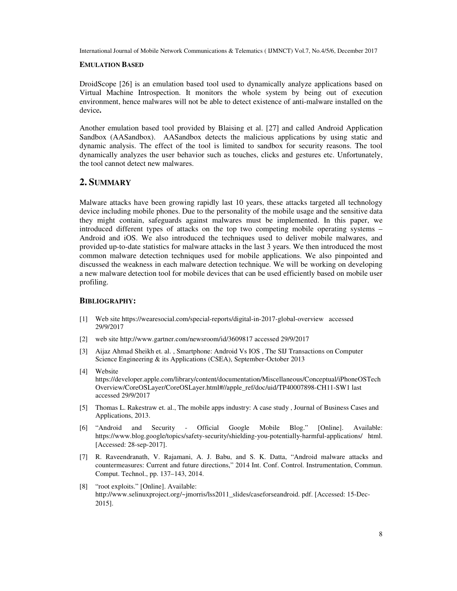#### **EMULATION BASED**

DroidScope [26] is an emulation based tool used to dynamically analyze applications based on Virtual Machine Introspection. It monitors the whole system by being out of execution environment, hence malwares will not be able to detect existence of anti-malware installed on the device**.** 

Another emulation based tool provided by Blaising et al. [27] and called Android Application Sandbox (AASandbox). AASandbox detects the malicious applications by using static and dynamic analysis. The effect of the tool is limited to sandbox for security reasons. The tool dynamically analyzes the user behavior such as touches, clicks and gestures etc. Unfortunately, the tool cannot detect new malwares.

# **2. SUMMARY**

Malware attacks have been growing rapidly last 10 years, these attacks targeted all technology device including mobile phones. Due to the personality of the mobile usage and the sensitive data they might contain, safeguards against malwares must be implemented. In this paper, we introduced different types of attacks on the top two competing mobile operating systems – Android and iOS. We also introduced the techniques used to deliver mobile malwares, and provided up-to-date statistics for malware attacks in the last 3 years. We then introduced the most common malware detection techniques used for mobile applications. We also pinpointed and discussed the weakness in each malware detection technique. We will be working on developing a new malware detection tool for mobile devices that can be used efficiently based on mobile user profiling.

#### **BIBLIOGRAPHY:**

- [1] Web site https://wearesocial.com/special-reports/digital-in-2017-global-overview accessed 29/9/2017
- [2] web site http://www.gartner.com/newsroom/id/3609817 accessed 29/9/2017
- [3] Aijaz Ahmad Sheikh et. al. , Smartphone: Android Vs IOS , The SIJ Transactions on Computer Science Engineering & its Applications (CSEA), September-October 2013
- [4] Website https://developer.apple.com/library/content/documentation/Miscellaneous/Conceptual/iPhoneOSTech Overview/CoreOSLayer/CoreOSLayer.html#//apple\_ref/doc/uid/TP40007898-CH11-SW1 last accessed 29/9/2017
- [5] Thomas L. Rakestraw et. al., The mobile apps industry: A case study , Journal of Business Cases and Applications, 2013.
- [6] "Android and Security Official Google Mobile Blog." [Online]. Available: https://www.blog.google/topics/safety-security/shielding-you-potentially-harmful-applications/ html. [Accessed: 28-sep-2017].
- [7] R. Raveendranath, V. Rajamani, A. J. Babu, and S. K. Datta, "Android malware attacks and countermeasures: Current and future directions," 2014 Int. Conf. Control. Instrumentation, Commun. Comput. Technol., pp. 137–143, 2014.
- [8] "root exploits." [Online]. Available: http://www.selinuxproject.org/~jmorris/lss2011\_slides/caseforseandroid. pdf. [Accessed: 15-Dec-2015].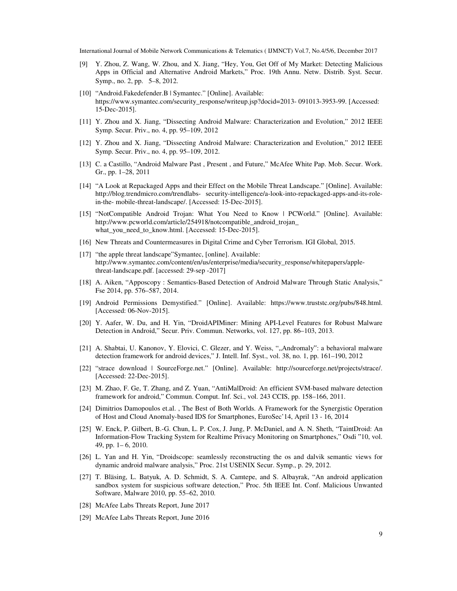- [9] Y. Zhou, Z. Wang, W. Zhou, and X. Jiang, "Hey, You, Get Off of My Market: Detecting Malicious Apps in Official and Alternative Android Markets," Proc. 19th Annu. Netw. Distrib. Syst. Secur. Symp., no. 2, pp. 5–8, 2012.
- [10] "Android.Fakedefender.B | Symantec." [Online]. Available: https://www.symantec.com/security\_response/writeup.jsp?docid=2013- 091013-3953-99. [Accessed: 15-Dec-2015].
- [11] Y. Zhou and X. Jiang, "Dissecting Android Malware: Characterization and Evolution," 2012 IEEE Symp. Secur. Priv., no. 4, pp. 95–109, 2012
- [12] Y. Zhou and X. Jiang, "Dissecting Android Malware: Characterization and Evolution," 2012 IEEE Symp. Secur. Priv., no. 4, pp. 95–109, 2012.
- [13] C. a Castillo, "Android Malware Past , Present , and Future," McAfee White Pap. Mob. Secur. Work. Gr., pp. 1–28, 2011
- [14] "A Look at Repackaged Apps and their Effect on the Mobile Threat Landscape." [Online]. Available: http://blog.trendmicro.com/trendlabs- security-intelligence/a-look-into-repackaged-apps-and-its-rolein-the- mobile-threat-landscape/. [Accessed: 15-Dec-2015].
- [15] "NotCompatible Android Trojan: What You Need to Know | PCWorld." [Online]. Available: http://www.pcworld.com/article/254918/notcompatible\_android\_trojan\_ what\_you\_need\_to\_know.html. [Accessed: 15-Dec-2015].
- [16] New Threats and Countermeasures in Digital Crime and Cyber Terrorism. IGI Global, 2015.
- [17] "the apple threat landscape"Symantec, [online]. Available: http://www.symantec.com/content/en/us/enterprise/media/security\_response/whitepapers/applethreat-landscape.pdf. [accessed: 29-sep -2017]
- [18] A. Aiken, "Apposcopy : Semantics-Based Detection of Android Malware Through Static Analysis," Fse 2014, pp. 576–587, 2014.
- [19] Android Permissions Demystified." [Online]. Available: https://www.truststc.org/pubs/848.html. [Accessed: 06-Nov-2015].
- [20] Y. Aafer, W. Du, and H. Yin, "DroidAPIMiner: Mining API-Level Features for Robust Malware Detection in Android," Secur. Priv. Commun. Networks, vol. 127, pp. 86–103, 2013.
- [21] A. Shabtai, U. Kanonov, Y. Elovici, C. Glezer, and Y. Weiss, ""Andromaly": a behavioral malware detection framework for android devices," J. Intell. Inf. Syst., vol. 38, no. 1, pp. 161–190, 2012
- [22] "strace download | SourceForge.net." [Online]. Available: http://sourceforge.net/projects/strace/. [Accessed: 22-Dec-2015].
- [23] M. Zhao, F. Ge, T. Zhang, and Z. Yuan, "AntiMalDroid: An efficient SVM-based malware detection framework for android," Commun. Comput. Inf. Sci., vol. 243 CCIS, pp. 158–166, 2011.
- [24] Dimitrios Damopoulos et.al., The Best of Both Worlds. A Framework for the Synergistic Operation of Host and Cloud Anomaly-based IDS for Smartphones, EuroSec'14, April 13 - 16, 2014
- [25] W. Enck, P. Gilbert, B.-G. Chun, L. P. Cox, J. Jung, P. McDaniel, and A. N. Sheth, "TaintDroid: An Information-Flow Tracking System for Realtime Privacy Monitoring on Smartphones," Osdi "10, vol. 49, pp. 1– 6, 2010.
- [26] L. Yan and H. Yin, "Droidscope: seamlessly reconstructing the os and dalvik semantic views for dynamic android malware analysis," Proc. 21st USENIX Secur. Symp., p. 29, 2012.
- [27] T. Bläsing, L. Batyuk, A. D. Schmidt, S. A. Camtepe, and S. Albayrak, "An android application sandbox system for suspicious software detection," Proc. 5th IEEE Int. Conf. Malicious Unwanted Software, Malware 2010, pp. 55–62, 2010.
- [28] McAfee Labs Threats Report, June 2017
- [29] McAfee Labs Threats Report, June 2016